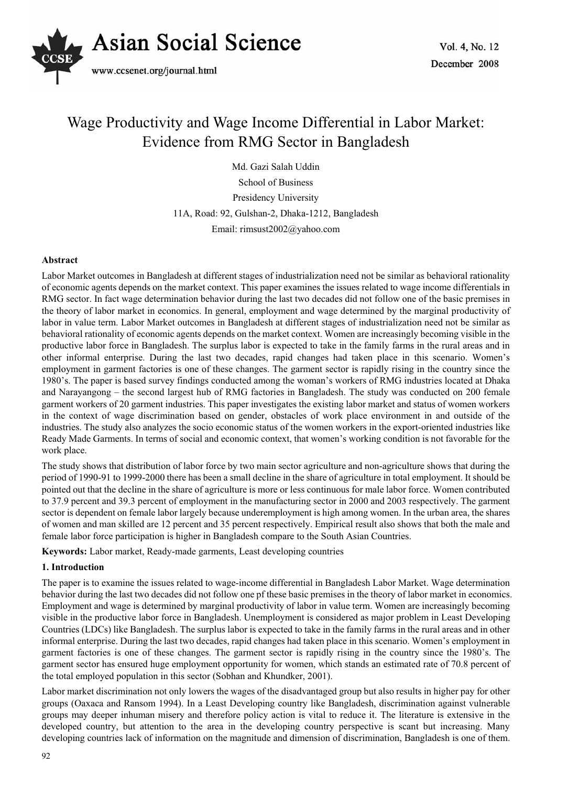

# Wage Productivity and Wage Income Differential in Labor Market: Evidence from RMG Sector in Bangladesh

Md. Gazi Salah Uddin School of Business Presidency University 11A, Road: 92, Gulshan-2, Dhaka-1212, Bangladesh Email: rimsust2002@yahoo.com

# **Abstract**

Labor Market outcomes in Bangladesh at different stages of industrialization need not be similar as behavioral rationality of economic agents depends on the market context. This paper examines the issues related to wage income differentials in RMG sector. In fact wage determination behavior during the last two decades did not follow one of the basic premises in the theory of labor market in economics. In general, employment and wage determined by the marginal productivity of labor in value term. Labor Market outcomes in Bangladesh at different stages of industrialization need not be similar as behavioral rationality of economic agents depends on the market context. Women are increasingly becoming visible in the productive labor force in Bangladesh. The surplus labor is expected to take in the family farms in the rural areas and in other informal enterprise. During the last two decades, rapid changes had taken place in this scenario. Women's employment in garment factories is one of these changes. The garment sector is rapidly rising in the country since the 1980's. The paper is based survey findings conducted among the woman's workers of RMG industries located at Dhaka and Narayangong – the second largest hub of RMG factories in Bangladesh. The study was conducted on 200 female garment workers of 20 garment industries. This paper investigates the existing labor market and status of women workers in the context of wage discrimination based on gender, obstacles of work place environment in and outside of the industries. The study also analyzes the socio economic status of the women workers in the export-oriented industries like Ready Made Garments. In terms of social and economic context, that women's working condition is not favorable for the work place.

The study shows that distribution of labor force by two main sector agriculture and non-agriculture shows that during the period of 1990-91 to 1999-2000 there has been a small decline in the share of agriculture in total employment. It should be pointed out that the decline in the share of agriculture is more or less continuous for male labor force. Women contributed to 37.9 percent and 39.3 percent of employment in the manufacturing sector in 2000 and 2003 respectively. The garment sector is dependent on female labor largely because underemployment is high among women. In the urban area, the shares of women and man skilled are 12 percent and 35 percent respectively. Empirical result also shows that both the male and female labor force participation is higher in Bangladesh compare to the South Asian Countries.

**Keywords:** Labor market, Ready-made garments, Least developing countries

#### **1. Introduction**

The paper is to examine the issues related to wage-income differential in Bangladesh Labor Market. Wage determination behavior during the last two decades did not follow one pf these basic premises in the theory of labor market in economics. Employment and wage is determined by marginal productivity of labor in value term. Women are increasingly becoming visible in the productive labor force in Bangladesh. Unemployment is considered as major problem in Least Developing Countries (LDCs) like Bangladesh. The surplus labor is expected to take in the family farms in the rural areas and in other informal enterprise. During the last two decades, rapid changes had taken place in this scenario. Women's employment in garment factories is one of these changes. The garment sector is rapidly rising in the country since the 1980's. The garment sector has ensured huge employment opportunity for women, which stands an estimated rate of 70.8 percent of the total employed population in this sector (Sobhan and Khundker, 2001).

Labor market discrimination not only lowers the wages of the disadvantaged group but also results in higher pay for other groups (Oaxaca and Ransom 1994). In a Least Developing country like Bangladesh, discrimination against vulnerable groups may deeper inhuman misery and therefore policy action is vital to reduce it. The literature is extensive in the developed country, but attention to the area in the developing country perspective is scant but increasing. Many developing countries lack of information on the magnitude and dimension of discrimination, Bangladesh is one of them.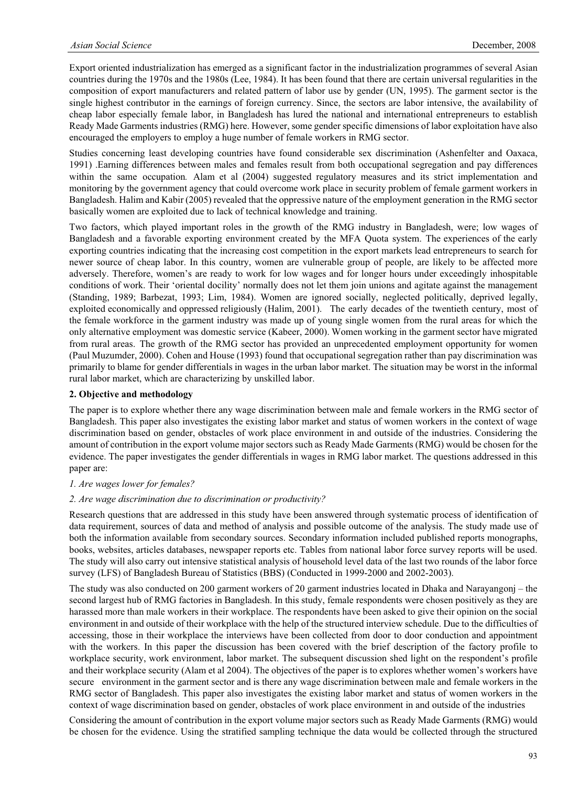Export oriented industrialization has emerged as a significant factor in the industrialization programmes of several Asian countries during the 1970s and the 1980s (Lee, 1984). It has been found that there are certain universal regularities in the composition of export manufacturers and related pattern of labor use by gender (UN, 1995). The garment sector is the single highest contributor in the earnings of foreign currency. Since, the sectors are labor intensive, the availability of cheap labor especially female labor, in Bangladesh has lured the national and international entrepreneurs to establish Ready Made Garments industries (RMG) here. However, some gender specific dimensions of labor exploitation have also encouraged the employers to employ a huge number of female workers in RMG sector.

Studies concerning least developing countries have found considerable sex discrimination (Ashenfelter and Oaxaca, 1991) .Earning differences between males and females result from both occupational segregation and pay differences within the same occupation. Alam et al  $(2004)$  suggested regulatory measures and its strict implementation and monitoring by the government agency that could overcome work place in security problem of female garment workers in Bangladesh. Halim and Kabir (2005) revealed that the oppressive nature of the employment generation in the RMG sector basically women are exploited due to lack of technical knowledge and training.

Two factors, which played important roles in the growth of the RMG industry in Bangladesh, were; low wages of Bangladesh and a favorable exporting environment created by the MFA Quota system. The experiences of the early exporting countries indicating that the increasing cost competition in the export markets lead entrepreneurs to search for newer source of cheap labor. In this country, women are vulnerable group of people, are likely to be affected more adversely. Therefore, women's are ready to work for low wages and for longer hours under exceedingly inhospitable conditions of work. Their 'oriental docility' normally does not let them join unions and agitate against the management (Standing, 1989; Barbezat, 1993; Lim, 1984). Women are ignored socially, neglected politically, deprived legally, exploited economically and oppressed religiously (Halim, 2001). The early decades of the twentieth century, most of the female workforce in the garment industry was made up of young single women from the rural areas for which the only alternative employment was domestic service (Kabeer, 2000). Women working in the garment sector have migrated from rural areas. The growth of the RMG sector has provided an unprecedented employment opportunity for women (Paul Muzumder, 2000). Cohen and House (1993) found that occupational segregation rather than pay discrimination was primarily to blame for gender differentials in wages in the urban labor market. The situation may be worst in the informal rural labor market, which are characterizing by unskilled labor.

#### **2. Objective and methodology**

The paper is to explore whether there any wage discrimination between male and female workers in the RMG sector of Bangladesh. This paper also investigates the existing labor market and status of women workers in the context of wage discrimination based on gender, obstacles of work place environment in and outside of the industries. Considering the amount of contribution in the export volume major sectors such as Ready Made Garments (RMG) would be chosen for the evidence. The paper investigates the gender differentials in wages in RMG labor market. The questions addressed in this paper are:

# *1. Are wages lower for females?*

#### *2. Are wage discrimination due to discrimination or productivity?*

Research questions that are addressed in this study have been answered through systematic process of identification of data requirement, sources of data and method of analysis and possible outcome of the analysis. The study made use of both the information available from secondary sources. Secondary information included published reports monographs, books, websites, articles databases, newspaper reports etc. Tables from national labor force survey reports will be used. The study will also carry out intensive statistical analysis of household level data of the last two rounds of the labor force survey (LFS) of Bangladesh Bureau of Statistics (BBS) (Conducted in 1999-2000 and 2002-2003).

The study was also conducted on 200 garment workers of 20 garment industries located in Dhaka and Narayangonj – the second largest hub of RMG factories in Bangladesh. In this study, female respondents were chosen positively as they are harassed more than male workers in their workplace. The respondents have been asked to give their opinion on the social environment in and outside of their workplace with the help of the structured interview schedule. Due to the difficulties of accessing, those in their workplace the interviews have been collected from door to door conduction and appointment with the workers. In this paper the discussion has been covered with the brief description of the factory profile to workplace security, work environment, labor market. The subsequent discussion shed light on the respondent's profile and their workplace security (Alam et al 2004). The objectives of the paper is to explores whether women's workers have secure environment in the garment sector and is there any wage discrimination between male and female workers in the RMG sector of Bangladesh. This paper also investigates the existing labor market and status of women workers in the context of wage discrimination based on gender, obstacles of work place environment in and outside of the industries

Considering the amount of contribution in the export volume major sectors such as Ready Made Garments (RMG) would be chosen for the evidence. Using the stratified sampling technique the data would be collected through the structured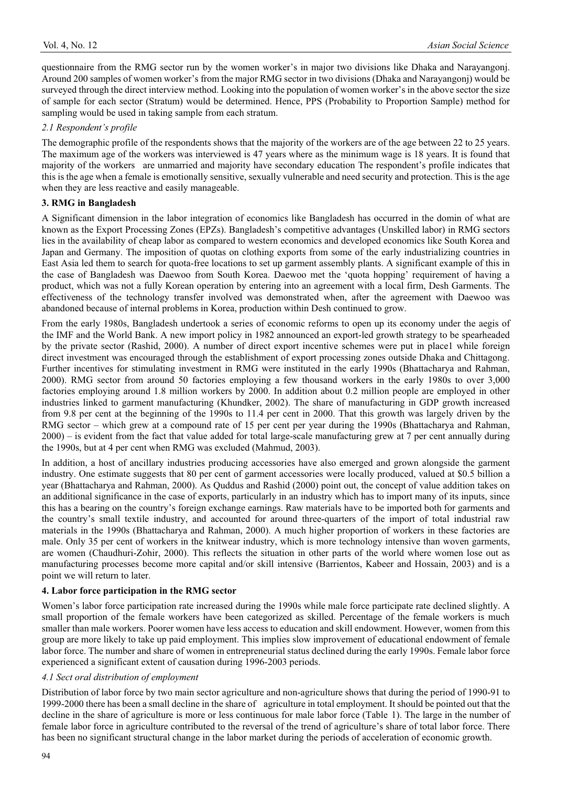questionnaire from the RMG sector run by the women worker's in major two divisions like Dhaka and Narayangonj. Around 200 samples of women worker's from the major RMG sector in two divisions (Dhaka and Narayangonj) would be surveyed through the direct interview method. Looking into the population of women worker's in the above sector the size of sample for each sector (Stratum) would be determined. Hence, PPS (Probability to Proportion Sample) method for sampling would be used in taking sample from each stratum.

### *2.1 Respondent's profile*

The demographic profile of the respondents shows that the majority of the workers are of the age between 22 to 25 years. The maximum age of the workers was interviewed is 47 years where as the minimum wage is 18 years. It is found that majority of the workers are unmarried and majority have secondary education The respondent's profile indicates that this is the age when a female is emotionally sensitive, sexually vulnerable and need security and protection. This is the age when they are less reactive and easily manageable.

# **3. RMG in Bangladesh**

A Significant dimension in the labor integration of economics like Bangladesh has occurred in the domin of what are known as the Export Processing Zones (EPZs). Bangladesh's competitive advantages (Unskilled labor) in RMG sectors lies in the availability of cheap labor as compared to western economics and developed economics like South Korea and Japan and Germany. The imposition of quotas on clothing exports from some of the early industrializing countries in East Asia led them to search for quota-free locations to set up garment assembly plants. A significant example of this in the case of Bangladesh was Daewoo from South Korea. Daewoo met the 'quota hopping' requirement of having a product, which was not a fully Korean operation by entering into an agreement with a local firm, Desh Garments. The effectiveness of the technology transfer involved was demonstrated when, after the agreement with Daewoo was abandoned because of internal problems in Korea, production within Desh continued to grow.

From the early 1980s, Bangladesh undertook a series of economic reforms to open up its economy under the aegis of the IMF and the World Bank. A new import policy in 1982 announced an export-led growth strategy to be spearheaded by the private sector (Rashid, 2000). A number of direct export incentive schemes were put in place1 while foreign direct investment was encouraged through the establishment of export processing zones outside Dhaka and Chittagong. Further incentives for stimulating investment in RMG were instituted in the early 1990s (Bhattacharya and Rahman, 2000). RMG sector from around 50 factories employing a few thousand workers in the early 1980s to over 3,000 factories employing around 1.8 million workers by 2000. In addition about 0.2 million people are employed in other industries linked to garment manufacturing (Khundker, 2002). The share of manufacturing in GDP growth increased from 9.8 per cent at the beginning of the 1990s to 11.4 per cent in 2000. That this growth was largely driven by the RMG sector – which grew at a compound rate of 15 per cent per year during the 1990s (Bhattacharya and Rahman, 2000) – is evident from the fact that value added for total large-scale manufacturing grew at 7 per cent annually during the 1990s, but at 4 per cent when RMG was excluded (Mahmud, 2003).

In addition, a host of ancillary industries producing accessories have also emerged and grown alongside the garment industry. One estimate suggests that 80 per cent of garment accessories were locally produced, valued at \$0.5 billion a year (Bhattacharya and Rahman, 2000). As Quddus and Rashid (2000) point out, the concept of value addition takes on an additional significance in the case of exports, particularly in an industry which has to import many of its inputs, since this has a bearing on the country's foreign exchange earnings. Raw materials have to be imported both for garments and the country's small textile industry, and accounted for around three-quarters of the import of total industrial raw materials in the 1990s (Bhattacharya and Rahman, 2000). A much higher proportion of workers in these factories are male. Only 35 per cent of workers in the knitwear industry, which is more technology intensive than woven garments, are women (Chaudhuri-Zohir, 2000). This reflects the situation in other parts of the world where women lose out as manufacturing processes become more capital and/or skill intensive (Barrientos, Kabeer and Hossain, 2003) and is a point we will return to later.

#### **4. Labor force participation in the RMG sector**

Women's labor force participation rate increased during the 1990s while male force participate rate declined slightly. A small proportion of the female workers have been categorized as skilled. Percentage of the female workers is much smaller than male workers. Poorer women have less access to education and skill endowment. However, women from this group are more likely to take up paid employment. This implies slow improvement of educational endowment of female labor force. The number and share of women in entrepreneurial status declined during the early 1990s. Female labor force experienced a significant extent of causation during 1996-2003 periods.

#### *4.1 Sect oral distribution of employment*

Distribution of labor force by two main sector agriculture and non-agriculture shows that during the period of 1990-91 to 1999-2000 there has been a small decline in the share of agriculture in total employment. It should be pointed out that the decline in the share of agriculture is more or less continuous for male labor force (Table 1). The large in the number of female labor force in agriculture contributed to the reversal of the trend of agriculture's share of total labor force. There has been no significant structural change in the labor market during the periods of acceleration of economic growth.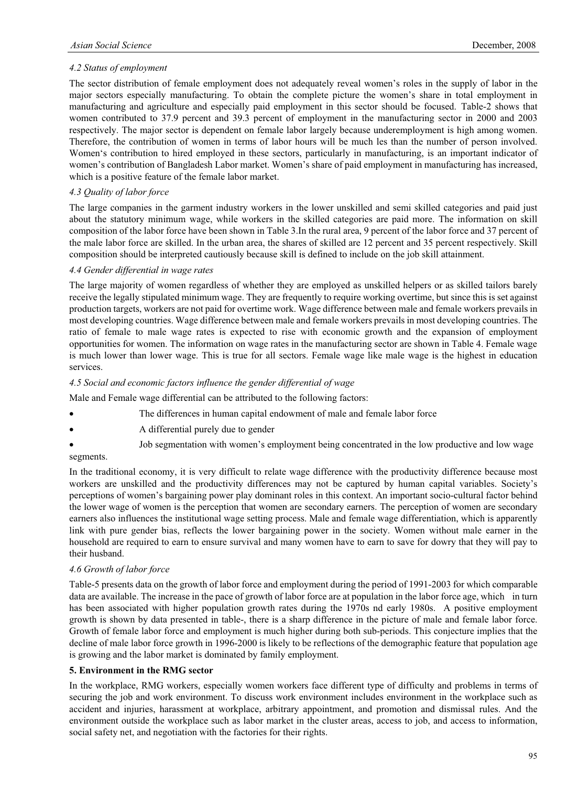# *4.2 Status of employment*

The sector distribution of female employment does not adequately reveal women's roles in the supply of labor in the major sectors especially manufacturing. To obtain the complete picture the women's share in total employment in manufacturing and agriculture and especially paid employment in this sector should be focused. Table-2 shows that women contributed to 37.9 percent and 39.3 percent of employment in the manufacturing sector in 2000 and 2003 respectively. The major sector is dependent on female labor largely because underemployment is high among women. Therefore, the contribution of women in terms of labor hours will be much les than the number of person involved. Women's contribution to hired employed in these sectors, particularly in manufacturing, is an important indicator of women's contribution of Bangladesh Labor market. Women's share of paid employment in manufacturing has increased, which is a positive feature of the female labor market.

# *4.3 Quality of labor force*

The large companies in the garment industry workers in the lower unskilled and semi skilled categories and paid just about the statutory minimum wage, while workers in the skilled categories are paid more. The information on skill composition of the labor force have been shown in Table 3.In the rural area, 9 percent of the labor force and 37 percent of the male labor force are skilled. In the urban area, the shares of skilled are 12 percent and 35 percent respectively. Skill composition should be interpreted cautiously because skill is defined to include on the job skill attainment.

#### *4.4 Gender differential in wage rates*

The large majority of women regardless of whether they are employed as unskilled helpers or as skilled tailors barely receive the legally stipulated minimum wage. They are frequently to require working overtime, but since this is set against production targets, workers are not paid for overtime work. Wage difference between male and female workers prevails in most developing countries. Wage difference between male and female workers prevails in most developing countries. The ratio of female to male wage rates is expected to rise with economic growth and the expansion of employment opportunities for women. The information on wage rates in the manufacturing sector are shown in Table 4. Female wage is much lower than lower wage. This is true for all sectors. Female wage like male wage is the highest in education services.

#### *4.5 Social and economic factors influence the gender differential of wage*

Male and Female wage differential can be attributed to the following factors:

- The differences in human capital endowment of male and female labor force
- x A differential purely due to gender
- Job segmentation with women's employment being concentrated in the low productive and low wage segments.

In the traditional economy, it is very difficult to relate wage difference with the productivity difference because most workers are unskilled and the productivity differences may not be captured by human capital variables. Society's perceptions of women's bargaining power play dominant roles in this context. An important socio-cultural factor behind the lower wage of women is the perception that women are secondary earners. The perception of women are secondary earners also influences the institutional wage setting process. Male and female wage differentiation, which is apparently link with pure gender bias, reflects the lower bargaining power in the society. Women without male earner in the household are required to earn to ensure survival and many women have to earn to save for dowry that they will pay to their husband.

#### *4.6 Growth of labor force*

Table-5 presents data on the growth of labor force and employment during the period of 1991-2003 for which comparable data are available. The increase in the pace of growth of labor force are at population in the labor force age, which in turn has been associated with higher population growth rates during the 1970s nd early 1980s. A positive employment growth is shown by data presented in table-, there is a sharp difference in the picture of male and female labor force. Growth of female labor force and employment is much higher during both sub-periods. This conjecture implies that the decline of male labor force growth in 1996-2000 is likely to be reflections of the demographic feature that population age is growing and the labor market is dominated by family employment.

#### **5. Environment in the RMG sector**

In the workplace, RMG workers, especially women workers face different type of difficulty and problems in terms of securing the job and work environment. To discuss work environment includes environment in the workplace such as accident and injuries, harassment at workplace, arbitrary appointment, and promotion and dismissal rules. And the environment outside the workplace such as labor market in the cluster areas, access to job, and access to information, social safety net, and negotiation with the factories for their rights.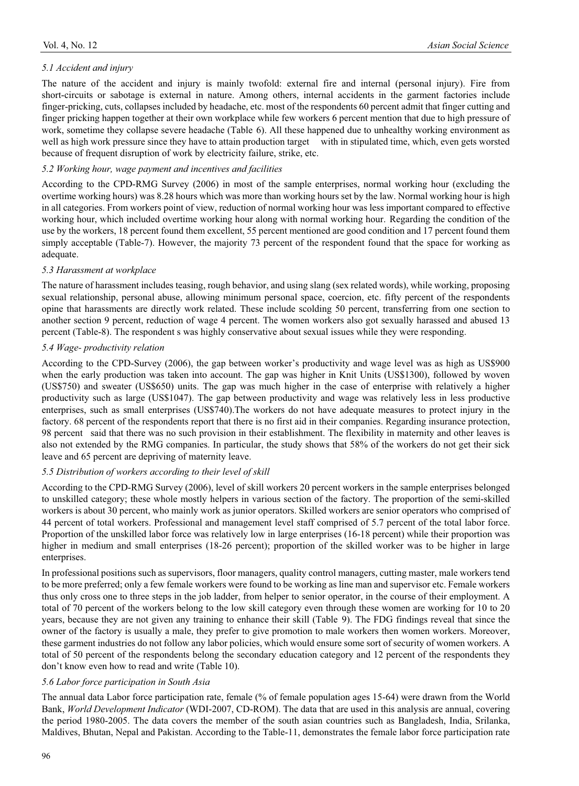The nature of the accident and injury is mainly twofold: external fire and internal (personal injury). Fire from short-circuits or sabotage is external in nature. Among others, internal accidents in the garment factories include finger-pricking, cuts, collapses included by headache, etc. most of the respondents 60 percent admit that finger cutting and finger pricking happen together at their own workplace while few workers 6 percent mention that due to high pressure of work, sometime they collapse severe headache (Table 6). All these happened due to unhealthy working environment as well as high work pressure since they have to attain production target with in stipulated time, which, even gets worsted because of frequent disruption of work by electricity failure, strike, etc.

# *5.2 Working hour, wage payment and incentives and facilities*

According to the CPD-RMG Survey (2006) in most of the sample enterprises, normal working hour (excluding the overtime working hours) was 8.28 hours which was more than working hours set by the law. Normal working hour is high in all categories. From workers point of view, reduction of normal working hour was less important compared to effective working hour, which included overtime working hour along with normal working hour. Regarding the condition of the use by the workers, 18 percent found them excellent, 55 percent mentioned are good condition and 17 percent found them simply acceptable (Table-7). However, the majority 73 percent of the respondent found that the space for working as adequate.

# *5.3 Harassment at workplace*

The nature of harassment includes teasing, rough behavior, and using slang (sex related words), while working, proposing sexual relationship, personal abuse, allowing minimum personal space, coercion, etc. fifty percent of the respondents opine that harassments are directly work related. These include scolding 50 percent, transferring from one section to another section 9 percent, reduction of wage 4 percent. The women workers also got sexually harassed and abused 13 percent (Table-8). The respondent s was highly conservative about sexual issues while they were responding.

# *5.4 Wage- productivity relation*

According to the CPD-Survey (2006), the gap between worker's productivity and wage level was as high as US\$900 when the early production was taken into account. The gap was higher in Knit Units (US\$1300), followed by woven (US\$750) and sweater (US\$650) units. The gap was much higher in the case of enterprise with relatively a higher productivity such as large (US\$1047). The gap between productivity and wage was relatively less in less productive enterprises, such as small enterprises (US\$740).The workers do not have adequate measures to protect injury in the factory. 68 percent of the respondents report that there is no first aid in their companies. Regarding insurance protection, 98 percent said that there was no such provision in their establishment. The flexibility in maternity and other leaves is also not extended by the RMG companies. In particular, the study shows that 58% of the workers do not get their sick leave and 65 percent are depriving of maternity leave.

# *5.5 Distribution of workers according to their level of skill*

According to the CPD-RMG Survey (2006), level of skill workers 20 percent workers in the sample enterprises belonged to unskilled category; these whole mostly helpers in various section of the factory. The proportion of the semi-skilled workers is about 30 percent, who mainly work as junior operators. Skilled workers are senior operators who comprised of 44 percent of total workers. Professional and management level staff comprised of 5.7 percent of the total labor force. Proportion of the unskilled labor force was relatively low in large enterprises (16-18 percent) while their proportion was higher in medium and small enterprises (18-26 percent); proportion of the skilled worker was to be higher in large enterprises.

In professional positions such as supervisors, floor managers, quality control managers, cutting master, male workers tend to be more preferred; only a few female workers were found to be working as line man and supervisor etc. Female workers thus only cross one to three steps in the job ladder, from helper to senior operator, in the course of their employment. A total of 70 percent of the workers belong to the low skill category even through these women are working for 10 to 20 years, because they are not given any training to enhance their skill (Table 9). The FDG findings reveal that since the owner of the factory is usually a male, they prefer to give promotion to male workers then women workers. Moreover, these garment industries do not follow any labor policies, which would ensure some sort of security of women workers. A total of 50 percent of the respondents belong the secondary education category and 12 percent of the respondents they don't know even how to read and write (Table 10).

#### *5.6 Labor force participation in South Asia*

The annual data Labor force participation rate, female (% of female population ages 15-64) were drawn from the World Bank, *World Development Indicator* (WDI-2007, CD-ROM). The data that are used in this analysis are annual, covering the period 1980-2005. The data covers the member of the south asian countries such as Bangladesh, India, Srilanka, Maldives, Bhutan, Nepal and Pakistan. According to the Table-11, demonstrates the female labor force participation rate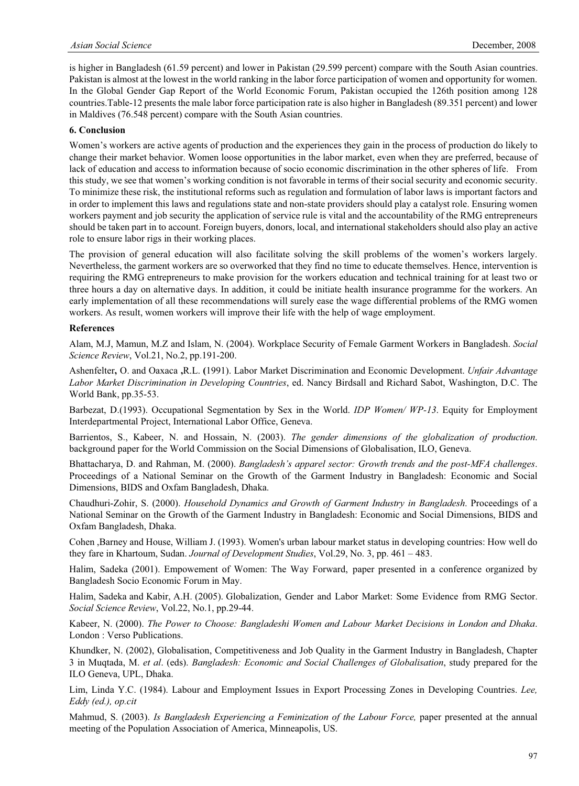is higher in Bangladesh (61.59 percent) and lower in Pakistan (29.599 percent) compare with the South Asian countries. Pakistan is almost at the lowest in the world ranking in the labor force participation of women and opportunity for women. In the Global Gender Gap Report of the World Economic Forum, Pakistan occupied the 126th position among 128 countries.Table-12 presents the male labor force participation rate is also higher in Bangladesh (89.351 percent) and lower in Maldives (76.548 percent) compare with the South Asian countries.

#### **6. Conclusion**

Women's workers are active agents of production and the experiences they gain in the process of production do likely to change their market behavior. Women loose opportunities in the labor market, even when they are preferred, because of lack of education and access to information because of socio economic discrimination in the other spheres of life. From this study, we see that women's working condition is not favorable in terms of their social security and economic security. To minimize these risk, the institutional reforms such as regulation and formulation of labor laws is important factors and in order to implement this laws and regulations state and non-state providers should play a catalyst role. Ensuring women workers payment and job security the application of service rule is vital and the accountability of the RMG entrepreneurs should be taken part in to account. Foreign buyers, donors, local, and international stakeholders should also play an active role to ensure labor rigs in their working places.

The provision of general education will also facilitate solving the skill problems of the women's workers largely. Nevertheless, the garment workers are so overworked that they find no time to educate themselves. Hence, intervention is requiring the RMG entrepreneurs to make provision for the workers education and technical training for at least two or three hours a day on alternative days. In addition, it could be initiate health insurance programme for the workers. An early implementation of all these recommendations will surely ease the wage differential problems of the RMG women workers. As result, women workers will improve their life with the help of wage employment.

#### **References**

Alam, M.J, Mamun, M.Z and Islam, N. (2004). Workplace Security of Female Garment Workers in Bangladesh. *Social Science Review*, Vol.21, No.2, pp.191-200.

Ashenfelter**,** O. and Oaxaca **,**R.L. **(**1991). Labor Market Discrimination and Economic Development. *Unfair Advantage Labor Market Discrimination in Developing Countries*, ed. Nancy Birdsall and Richard Sabot, Washington, D.C. The World Bank, pp.35-53.

Barbezat, D.(1993). Occupational Segmentation by Sex in the World. *IDP Women/ WP-13*. Equity for Employment Interdepartmental Project, International Labor Office, Geneva.

Barrientos, S., Kabeer, N. and Hossain, N. (2003). *The gender dimensions of the globalization of production*. background paper for the World Commission on the Social Dimensions of Globalisation, ILO, Geneva.

Bhattacharya, D. and Rahman, M. (2000). *Bangladesh's apparel sector: Growth trends and the post-MFA challenges*. Proceedings of a National Seminar on the Growth of the Garment Industry in Bangladesh: Economic and Social Dimensions, BIDS and Oxfam Bangladesh, Dhaka.

Chaudhuri-Zohir, S. (2000). *Household Dynamics and Growth of Garment Industry in Bangladesh*. Proceedings of a National Seminar on the Growth of the Garment Industry in Bangladesh: Economic and Social Dimensions, BIDS and Oxfam Bangladesh, Dhaka.

Cohen ,Barney and House, William J. (1993). Women's urban labour market status in developing countries: How well do they fare in Khartoum, Sudan. *Journal of Development Studies*, Vol.29, No. 3, pp. 461 – 483.

Halim, Sadeka (2001). Empowement of Women: The Way Forward, paper presented in a conference organized by Bangladesh Socio Economic Forum in May.

Halim, Sadeka and Kabir, A.H. (2005). Globalization, Gender and Labor Market: Some Evidence from RMG Sector. *Social Science Review*, Vol.22, No.1, pp.29-44.

Kabeer, N. (2000). *The Power to Choose: Bangladeshi Women and Labour Market Decisions in London and Dhaka*. London : Verso Publications.

Khundker, N. (2002), Globalisation, Competitiveness and Job Quality in the Garment Industry in Bangladesh, Chapter 3 in Muqtada, M. *et al*. (eds). *Bangladesh: Economic and Social Challenges of Globalisation*, study prepared for the ILO Geneva, UPL, Dhaka.

Lim, Linda Y.C. (1984). Labour and Employment Issues in Export Processing Zones in Developing Countries. *Lee, Eddy (ed.), op.cit* 

Mahmud, S. (2003). *Is Bangladesh Experiencing a Feminization of the Labour Force,* paper presented at the annual meeting of the Population Association of America, Minneapolis, US.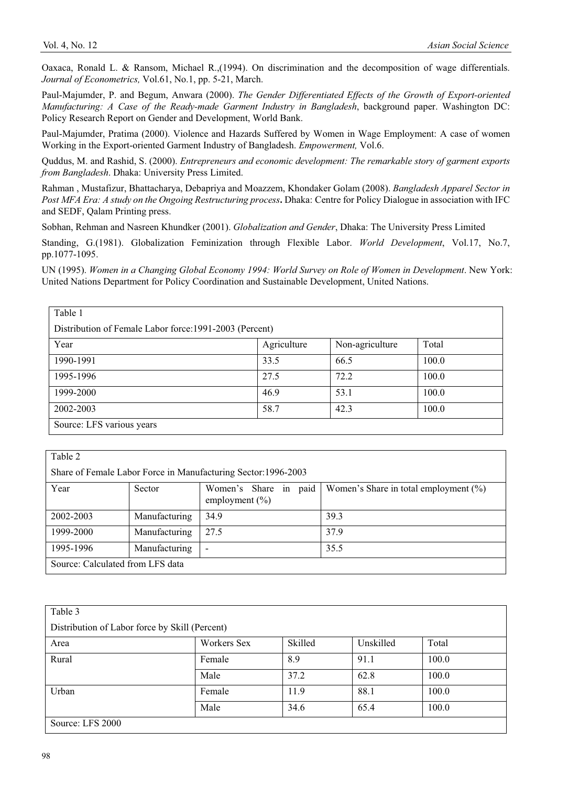Oaxaca, Ronald L. & Ransom, Michael R.,(1994). On discrimination and the decomposition of wage differentials. *Journal of Econometrics,* Vol.61, No.1, pp. 5-21, March.

Paul-Majumder, P. and Begum, Anwara (2000). *The Gender Differentiated Effects of the Growth of Export-oriented Manufacturing: A Case of the Ready-made Garment Industry in Bangladesh*, background paper. Washington DC: Policy Research Report on Gender and Development, World Bank.

Paul-Majumder, Pratima (2000). Violence and Hazards Suffered by Women in Wage Employment: A case of women Working in the Export-oriented Garment Industry of Bangladesh. *Empowerment,* Vol.6.

Quddus, M. and Rashid, S. (2000). *Entrepreneurs and economic development: The remarkable story of garment exports from Bangladesh*. Dhaka: University Press Limited.

Rahman , Mustafizur, Bhattacharya, Debapriya and Moazzem, Khondaker Golam (2008). *Bangladesh Apparel Sector in Post MFA Era: A study on the Ongoing Restructuring process***.** Dhaka: Centre for Policy Dialogue in association with IFC and SEDF, Qalam Printing press.

Sobhan, Rehman and Nasreen Khundker (2001). *Globalization and Gender*, Dhaka: The University Press Limited

Standing, G.(1981). Globalization Feminization through Flexible Labor. *World Development*, Vol.17, No.7, pp.1077-1095.

UN (1995). *Women in a Changing Global Economy 1994: World Survey on Role of Women in Development*. New York: United Nations Department for Policy Coordination and Sustainable Development, United Nations.

| Table 1                                                 |             |                 |       |  |  |
|---------------------------------------------------------|-------------|-----------------|-------|--|--|
| Distribution of Female Labor force: 1991-2003 (Percent) |             |                 |       |  |  |
| Year                                                    | Agriculture | Non-agriculture | Total |  |  |
| 1990-1991                                               | 33.5        | 66.5            | 100.0 |  |  |
| 1995-1996                                               | 27.5        | 72.2            | 100.0 |  |  |
| 1999-2000                                               | 46.9        | 53.1            | 100.0 |  |  |
| 2002-2003                                               | 58.7        | 42.3            | 100.0 |  |  |
| Source: LFS various years                               |             |                 |       |  |  |

| Table 2                          |               |                                                                |                                          |  |
|----------------------------------|---------------|----------------------------------------------------------------|------------------------------------------|--|
|                                  |               | Share of Female Labor Force in Manufacturing Sector: 1996-2003 |                                          |  |
| Year                             | Sector        | Women's Share in paid<br>employment $(\% )$                    | Women's Share in total employment $(\%)$ |  |
| 2002-2003                        | Manufacturing | 34.9                                                           | 39.3                                     |  |
| 1999-2000                        | Manufacturing | 27.5                                                           | 37.9                                     |  |
| 1995-1996                        | Manufacturing | $\overline{\phantom{a}}$                                       | 35.5                                     |  |
| Source: Calculated from LFS data |               |                                                                |                                          |  |

| Table 3                                        |             |         |           |       |
|------------------------------------------------|-------------|---------|-----------|-------|
| Distribution of Labor force by Skill (Percent) |             |         |           |       |
| Area                                           | Workers Sex | Skilled | Unskilled | Total |
| Rural                                          | Female      | 8.9     | 91.1      | 100.0 |
|                                                | Male        | 37.2    | 62.8      | 100.0 |
| Urban                                          | Female      | 11.9    | 88.1      | 100.0 |
|                                                | Male        | 34.6    | 65.4      | 100.0 |
| Source: LFS 2000                               |             |         |           |       |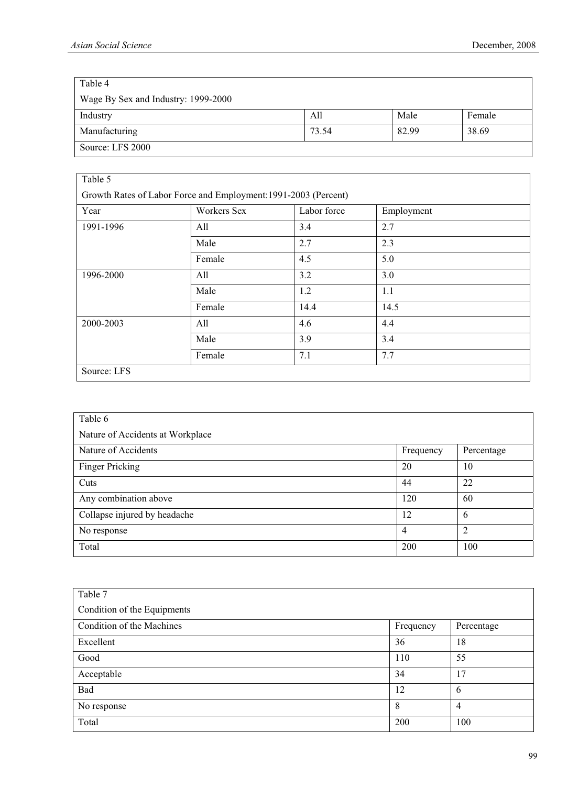| Table 4                             |       |       |        |
|-------------------------------------|-------|-------|--------|
| Wage By Sex and Industry: 1999-2000 |       |       |        |
| Industry                            | All   | Male  | Female |
| Manufacturing                       | 73.54 | 82.99 | 38.69  |
| Source: LFS 2000                    |       |       |        |

| Table 5                                                         |             |             |            |
|-----------------------------------------------------------------|-------------|-------------|------------|
| Growth Rates of Labor Force and Employment: 1991-2003 (Percent) |             |             |            |
| Year                                                            | Workers Sex | Labor force | Employment |
| 1991-1996                                                       | All         | 3.4         | 2.7        |
|                                                                 | Male        | 2.7         | 2.3        |
|                                                                 | Female      | 4.5         | 5.0        |
| 1996-2000                                                       | All         | 3.2         | 3.0        |
|                                                                 | Male        | 1.2         | 1.1        |
|                                                                 | Female      | 14.4        | 14.5       |
| 2000-2003                                                       | All         | 4.6         | 4.4        |
|                                                                 | Male        | 3.9         | 3.4        |
|                                                                 | Female      | 7.1         | 7.7        |
| Source: LFS                                                     |             |             |            |

| Table 6                          |                |                |
|----------------------------------|----------------|----------------|
| Nature of Accidents at Workplace |                |                |
| Nature of Accidents              | Frequency      | Percentage     |
| Finger Pricking                  | 20             | 10             |
| Cuts                             | 44             | 22             |
| Any combination above            | 120            | 60             |
| Collapse injured by headache     | 12             | 6              |
| No response                      | $\overline{4}$ | $\overline{2}$ |
| Total                            | 200            | 100            |

| Table 7                     |           |            |
|-----------------------------|-----------|------------|
| Condition of the Equipments |           |            |
| Condition of the Machines   | Frequency | Percentage |
| Excellent                   | 36        | 18         |
| Good                        | 110       | 55         |
| Acceptable                  | 34        | 17         |
| Bad                         | 12        | 6          |
| No response                 | 8         | 4          |
| Total                       | 200       | 100        |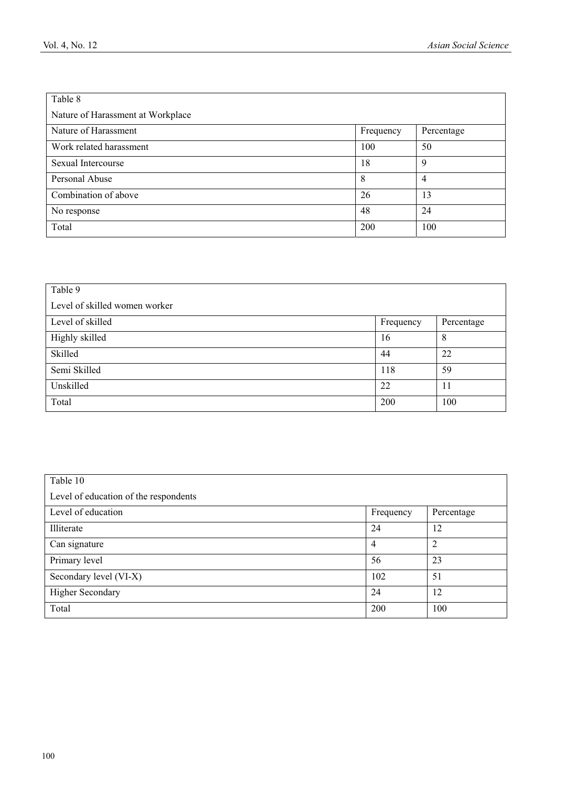| Table 8                           |           |            |
|-----------------------------------|-----------|------------|
| Nature of Harassment at Workplace |           |            |
| Nature of Harassment              | Frequency | Percentage |
| Work related harassment           | 100       | 50         |
| Sexual Intercourse                | 18        | 9          |
| Personal Abuse                    | 8         | 4          |
| Combination of above              | 26        | 13         |
| No response                       | 48        | 24         |
| Total                             | 200       | 100        |

| Table 9                       |           |            |
|-------------------------------|-----------|------------|
| Level of skilled women worker |           |            |
| Level of skilled              | Frequency | Percentage |
| Highly skilled                | 16        | 8          |
| Skilled                       | 44        | 22         |
| Semi Skilled                  | 118       | 59         |
| Unskilled                     | 22        | 11         |
| Total                         | 200       | 100        |

| Table 10                              |           |                |  |
|---------------------------------------|-----------|----------------|--|
| Level of education of the respondents |           |                |  |
| Level of education                    | Frequency | Percentage     |  |
| Illiterate                            | 24        | 12             |  |
| Can signature                         | 4         | $\overline{2}$ |  |
| Primary level                         | 56        | 23             |  |
| Secondary level (VI-X)                | 102       | 51             |  |
| <b>Higher Secondary</b>               | 24        | 12             |  |
| Total                                 | 200       | 100            |  |